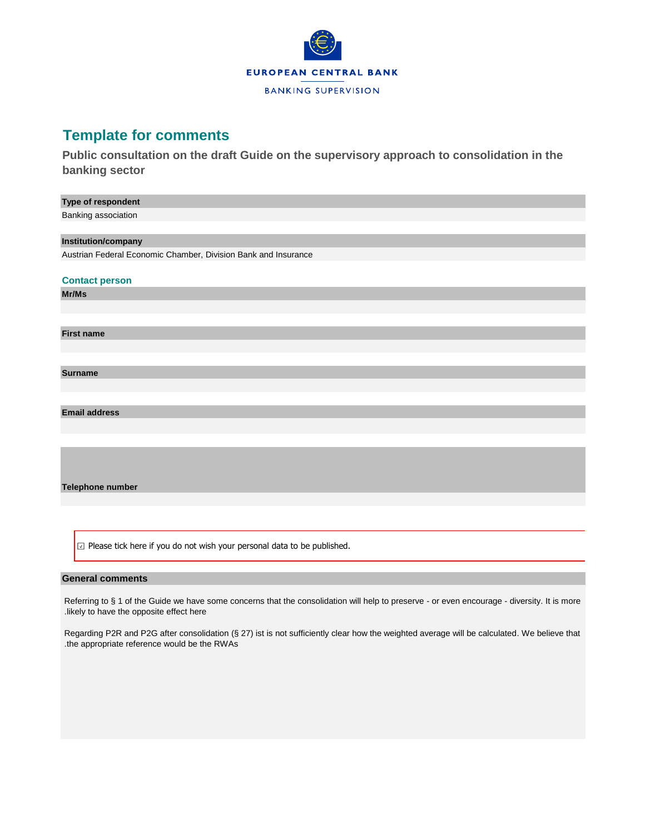

## **Template for comments**

**Public consultation on the draft Guide on the supervisory approach to consolidation in the banking sector**

 $\boxdot$  Please tick here if you do not wish your personal data to be published.

## **General comments**

Referring to § 1 of the Guide we have some concerns that the consolidation will help to preserve - or even encourage - diversity. It is more .likely to have the opposite effect here

Regarding P2R and P2G after consolidation (§ 27) ist is not sufficiently clear how the weighted average will be calculated. We believe that .the appropriate reference would be the RWAs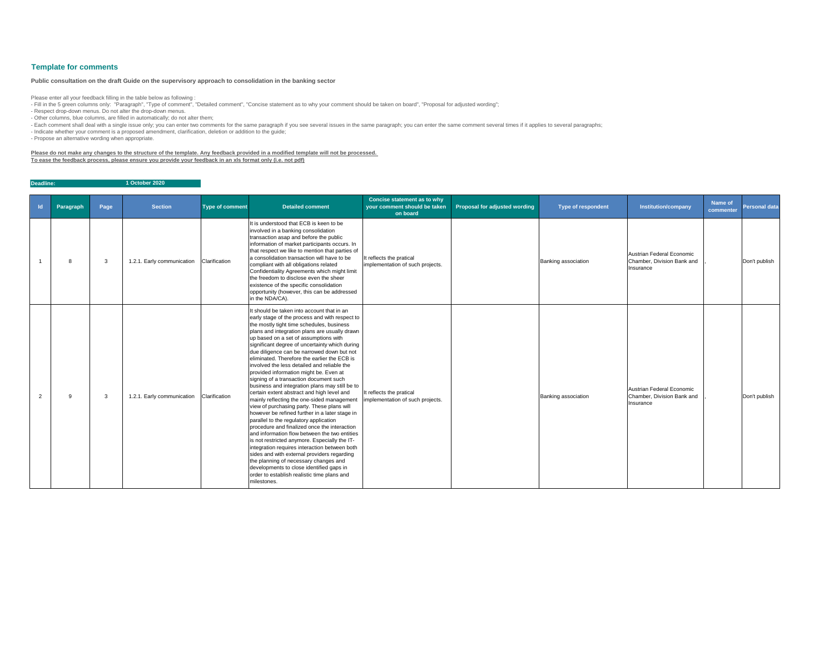| $\mathsf{Id}$ | Paragraph | Page | <b>Section</b>             | <b>Type of comment</b> | <b>Detailed comment</b>                                                                                                                                                                                                                                                                                                                                                                                                                                                                                                                                                                                                                                                                                                                                                                                                                                                                                                                                                                                                                                                                                                                                                                                             | <b>Concise statement as to why</b><br>your comment should be taken<br>on board | <b>Proposal for adjusted wording</b> | <b>Type of respondent</b> | <b>Institution/company</b>                                           | <b>Name of</b><br>commenter | <b>Personal data</b> |
|---------------|-----------|------|----------------------------|------------------------|---------------------------------------------------------------------------------------------------------------------------------------------------------------------------------------------------------------------------------------------------------------------------------------------------------------------------------------------------------------------------------------------------------------------------------------------------------------------------------------------------------------------------------------------------------------------------------------------------------------------------------------------------------------------------------------------------------------------------------------------------------------------------------------------------------------------------------------------------------------------------------------------------------------------------------------------------------------------------------------------------------------------------------------------------------------------------------------------------------------------------------------------------------------------------------------------------------------------|--------------------------------------------------------------------------------|--------------------------------------|---------------------------|----------------------------------------------------------------------|-----------------------------|----------------------|
|               | 8         | 3    | 1.2.1. Early communication | Clarification          | It is understood that ECB is keen to be<br>involved in a banking consolidation<br>transaction asap and before the public<br>information of market participants occurs. In<br>that respect we like to mention that parties of<br>a consolidation transaction will have to be<br>compliant with all obligations related<br>Confidentiality Agreements which might limit<br>the freedom to disclose even the sheer<br>existence of the specific consolidation<br>opportunity (however, this can be addressed<br>in the NDA/CA).                                                                                                                                                                                                                                                                                                                                                                                                                                                                                                                                                                                                                                                                                        | It reflects the pratical<br>implementation of such projects.                   |                                      | Banking association       | Austrian Federal Economic<br>Chamber, Division Bank and<br>Insurance |                             | Don't publish        |
| 2             | 9         | 3    | 1.2.1. Early communication | Clarification          | It should be taken into account that in an<br>early stage of the process and with respect to<br>the mostly tight time schedules, business<br>plans and integration plans are usually drawn<br>up based on a set of assumptions with<br>significant degree of uncertainty which during<br>due diligence can be narrowed down but not<br>eliminated. Therefore the earlier the ECB is<br>involved the less detailed and reliable the<br>provided information might be. Even at<br>signing of a transaction document such<br>business and integration plans may still be to<br>certain extent abstract and high level and<br>mainly reflecting the one-sided management<br>view of purchasing party. These plans will<br>however be refined further in a later stage in<br>parallel to the regulatory application<br>procedure and finalized once the interaction<br>and information flow between the two entities<br>is not restricted anymore. Especially the IT-<br>integration requires interaction between both<br>sides and with external providers regarding<br>the planning of necessary changes and<br>developments to close identified gaps in<br>order to establish realistic time plans and<br>milestones. | It reflects the pratical<br>implementation of such projects.                   |                                      | Banking association       | Austrian Federal Economic<br>Chamber, Division Bank and<br>Insurance |                             | Don't publish        |

- Fill in the 5 green columns only: "Paragraph", "Type of comment", "Detailed comment", "Concise statement as to why your comment should be taken on board", "Proposal for adjusted wording"; - Respect drop-down menus. Do not alter the drop-down menus.

**Deadline: 1 October 2020**

## **Template for comments**

Please enter all your feedback filling in the table below as following :

- Other columns, blue columns, are filled in automatically; do not alter them;

- Each comment shall deal with a single issue only; you can enter two comments for the same paragraph if you see several issues in the same paragraph; you can enter the same comment several times if it applies to several p

- Indicate whether your comment is a proposed amendment, clarification, deletion or addition to the guide;

- Propose an alternative wording when appropriate.

**Please do not make any changes to the structure of the template. Any feedback provided in a modified template will not be processed. To ease the feedback process, please ensure you provide your feedback in an xls format only (i.e. not pdf)**

## **Public consultation on the draft Guide on the supervisory approach to consolidation in the banking sector**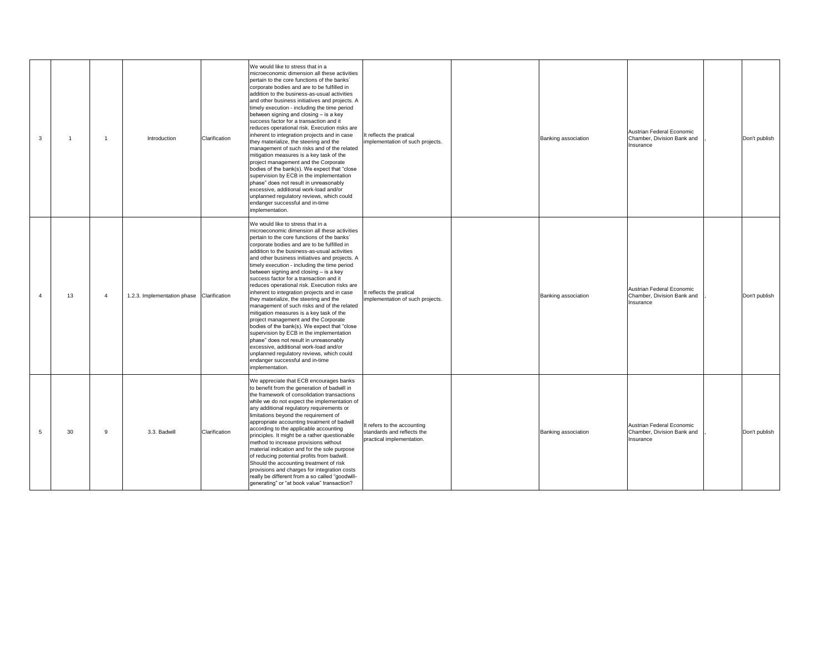| 3              |    | -1 | Introduction                              | Clarification | We would like to stress that in a<br>microeconomic dimension all these activities<br>pertain to the core functions of the banks'<br>corporate bodies and are to be fulfilled in<br>addition to the business-as-usual activities<br>and other business initiatives and projects. A<br>timely execution - including the time period<br>between signing and closing - is a key<br>success factor for a transaction and it<br>reduces operational risk. Execution risks are<br>inherent to integration projects and in case<br>they materialize, the steering and the<br>management of such risks and of the related<br>mitigation measures is a key task of the<br>project management and the Corporate<br>bodies of the bank(s). We expect that "close<br>supervision by ECB in the implementation<br>phase" does not result in unreasonably<br>excessive, additional work-load and/or<br>unplanned regulatory reviews, which could<br>endanger successful and in-time<br>implementation. | It reflects the pratical<br>implementation of such projects.                           | <b>Banking association</b> |
|----------------|----|----|-------------------------------------------|---------------|-----------------------------------------------------------------------------------------------------------------------------------------------------------------------------------------------------------------------------------------------------------------------------------------------------------------------------------------------------------------------------------------------------------------------------------------------------------------------------------------------------------------------------------------------------------------------------------------------------------------------------------------------------------------------------------------------------------------------------------------------------------------------------------------------------------------------------------------------------------------------------------------------------------------------------------------------------------------------------------------|----------------------------------------------------------------------------------------|----------------------------|
| $\overline{4}$ | 13 | 4  | 1.2.3. Implementation phase Clarification |               | We would like to stress that in a<br>microeconomic dimension all these activities<br>pertain to the core functions of the banks'<br>corporate bodies and are to be fulfilled in<br>addition to the business-as-usual activities<br>and other business initiatives and projects. A<br>timely execution - including the time period<br>between signing and closing - is a key<br>success factor for a transaction and it<br>reduces operational risk. Execution risks are<br>inherent to integration projects and in case<br>they materialize, the steering and the<br>management of such risks and of the related<br>mitigation measures is a key task of the<br>project management and the Corporate<br>bodies of the bank(s). We expect that "close<br>supervision by ECB in the implementation<br>phase" does not result in unreasonably<br>excessive, additional work-load and/or<br>unplanned regulatory reviews, which could<br>endanger successful and in-time<br>implementation. | It reflects the pratical<br>implementation of such projects.                           | <b>Banking association</b> |
| 5              | 30 | 9  | 3.3. Badwill                              | Clarification | We appreciate that ECB encourages banks<br>to benefit from the generation of badwill in<br>the framework of consolidation transactions<br>while we do not expect the implementation of<br>any additional regulatory requirements or<br>limitations beyond the requirement of<br>appropriate accounting treatment of badwill<br>according to the applicable accounting<br>principles. It might be a rather questionable<br>method to increase provisions without<br>material indication and for the sole purpose<br>of reducing potential profits from badwill.<br>Should the accounting treatment of risk<br>provisions and charges for integration costs<br>really be different from a so called "goodwill-<br>generating" or "at book value" transaction?                                                                                                                                                                                                                             | It refers to the accounting<br>standards and reflects the<br>practical implementation. | <b>Banking association</b> |

| Banking association | Austrian Federal Economic<br>Chamber, Division Bank and<br>Insurance | Don't publish |
|---------------------|----------------------------------------------------------------------|---------------|
| Banking association | Austrian Federal Economic<br>Chamber, Division Bank and<br>Insurance | Don't publish |
| Banking association | Austrian Federal Economic<br>Chamber, Division Bank and<br>Insurance | Don't publish |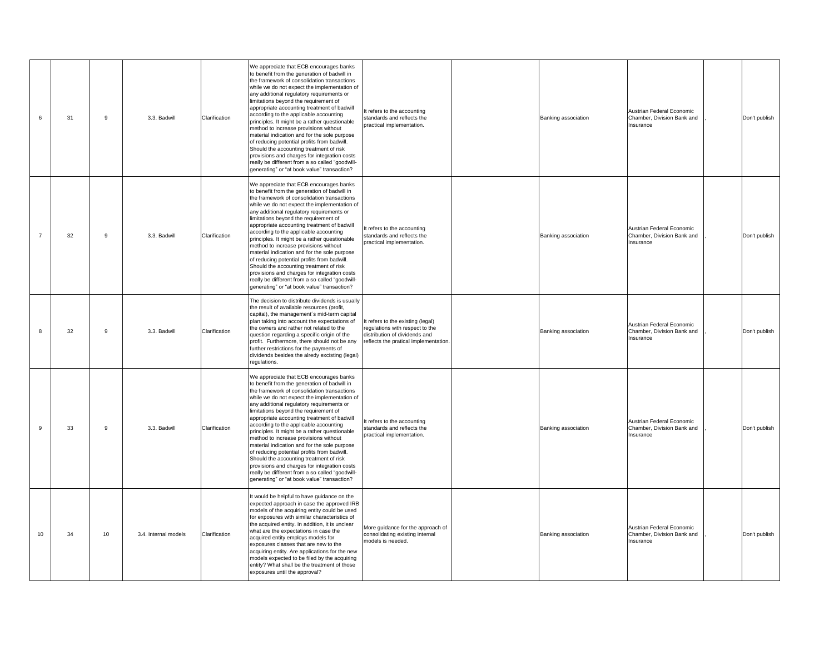| 6  | 31 | 9  | 3.3. Badwill         | Clarification | We appreciate that ECB encourages banks<br>to benefit from the generation of badwill in<br>the framework of consolidation transactions<br>while we do not expect the implementation of<br>any additional regulatory requirements or<br>limitations beyond the requirement of<br>appropriate accounting treatment of badwill<br>according to the applicable accounting<br>principles. It might be a rather questionable<br>method to increase provisions without<br>material indication and for the sole purpose<br>of reducing potential profits from badwill.<br>Should the accounting treatment of risk<br>provisions and charges for integration costs<br>really be different from a so called "goodwill-<br>generating" or "at book value" transaction? | It refers to the accounting<br>standards and reflects the<br>practical implementation.                                                         |  |
|----|----|----|----------------------|---------------|-------------------------------------------------------------------------------------------------------------------------------------------------------------------------------------------------------------------------------------------------------------------------------------------------------------------------------------------------------------------------------------------------------------------------------------------------------------------------------------------------------------------------------------------------------------------------------------------------------------------------------------------------------------------------------------------------------------------------------------------------------------|------------------------------------------------------------------------------------------------------------------------------------------------|--|
| 7  | 32 | 9  | 3.3. Badwill         | Clarification | We appreciate that ECB encourages banks<br>to benefit from the generation of badwill in<br>the framework of consolidation transactions<br>while we do not expect the implementation of<br>any additional regulatory requirements or<br>limitations beyond the requirement of<br>appropriate accounting treatment of badwill<br>according to the applicable accounting<br>principles. It might be a rather questionable<br>method to increase provisions without<br>material indication and for the sole purpose<br>of reducing potential profits from badwill.<br>Should the accounting treatment of risk<br>provisions and charges for integration costs<br>really be different from a so called "goodwill-<br>generating" or "at book value" transaction? | It refers to the accounting<br>standards and reflects the<br>practical implementation.                                                         |  |
| 8  | 32 | 9  | 3.3. Badwill         | Clarification | The decision to distribute dividends is usually<br>the result of available resources (profit,<br>capital), the management's mid-term capital<br>plan taking into account the expectations of<br>the owners and rather not related to the<br>question regarding a specific origin of the<br>profit. Furthermore, there should not be any<br>further restrictions for the payments of<br>dividends besides the alredy excisting (legal)<br>regulations.                                                                                                                                                                                                                                                                                                       | It refers to the existing (legal)<br>regulations with respect to the<br>distribution of dividends and<br>reflects the pratical implementation. |  |
| 9  | 33 | 9  | 3.3. Badwill         | Clarification | We appreciate that ECB encourages banks<br>to benefit from the generation of badwill in<br>the framework of consolidation transactions<br>while we do not expect the implementation of<br>any additional regulatory requirements or<br>limitations beyond the requirement of<br>appropriate accounting treatment of badwill<br>according to the applicable accounting<br>principles. It might be a rather questionable<br>method to increase provisions without<br>material indication and for the sole purpose<br>of reducing potential profits from badwill.<br>Should the accounting treatment of risk<br>provisions and charges for integration costs<br>really be different from a so called "goodwill-<br>generating" or "at book value" transaction? | It refers to the accounting<br>standards and reflects the<br>practical implementation.                                                         |  |
| 10 | 34 | 10 | 3.4. Internal models | Clarification | It would be helpful to have guidance on the<br>expected approach in case the approved IRB<br>models of the acquiring entity could be used<br>for exposures with similar characteristics of<br>the acquired entity. In addition, it is unclear<br>what are the expectations in case the<br>acquired entity employs models for<br>exposures classes that are new to the<br>acquiring entity. Are applications for the new<br>models expected to be filed by the acquiring<br>entity? What shall be the treatment of those<br>exposures until the approval?                                                                                                                                                                                                    | More guidance for the approach of<br>consolidating existing internal<br>models is needed.                                                      |  |

| Banking association | Austrian Federal Economic<br>Chamber, Division Bank and<br>Insurance | Don't publish |
|---------------------|----------------------------------------------------------------------|---------------|
| Banking association | Austrian Federal Economic<br>Chamber, Division Bank and<br>Insurance | Don't publish |
| Banking association | Austrian Federal Economic<br>Chamber, Division Bank and<br>Insurance | Don't publish |
| Banking association | Austrian Federal Economic<br>Chamber, Division Bank and<br>Insurance | Don't publish |
| Banking association | Austrian Federal Economic<br>Chamber, Division Bank and<br>Insurance | Don't publish |